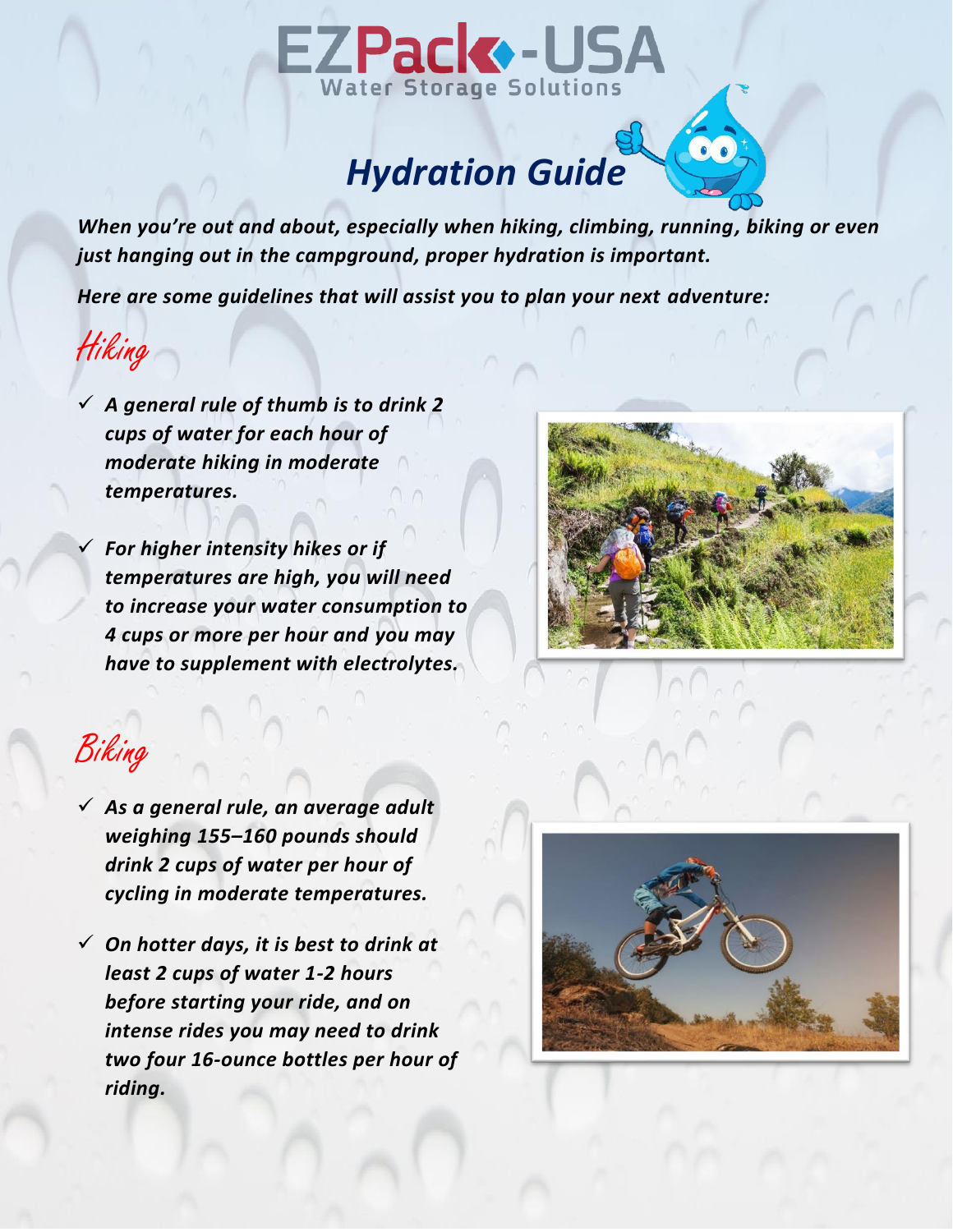

### *Hydration Guide*

*When you're out and about, especially when hiking, climbing, running, biking or even just hanging out in the campground, proper hydration is important.*

*Here are some guidelines that will assist you to plan your next adventure:*

Hiking

✓ *A general rule of thumb is to drink 2 cups of water for each hour of moderate hiking in moderate temperatures.* 

✓ *For higher intensity hikes or if temperatures are high, you will need to increase your water consumption to 4 cups or more per hour and you may have to supplement with electrolytes.* 



60

### Biking

- ✓ *As a general rule, an average adult weighing 155–160 pounds should drink 2 cups of water per hour of cycling in moderate temperatures.*
- ✓ *On hotter days, it is best to drink at least 2 cups of water 1-2 hours before starting your ride, and on intense rides you may need to drink two four 16-ounce bottles per hour of riding.*

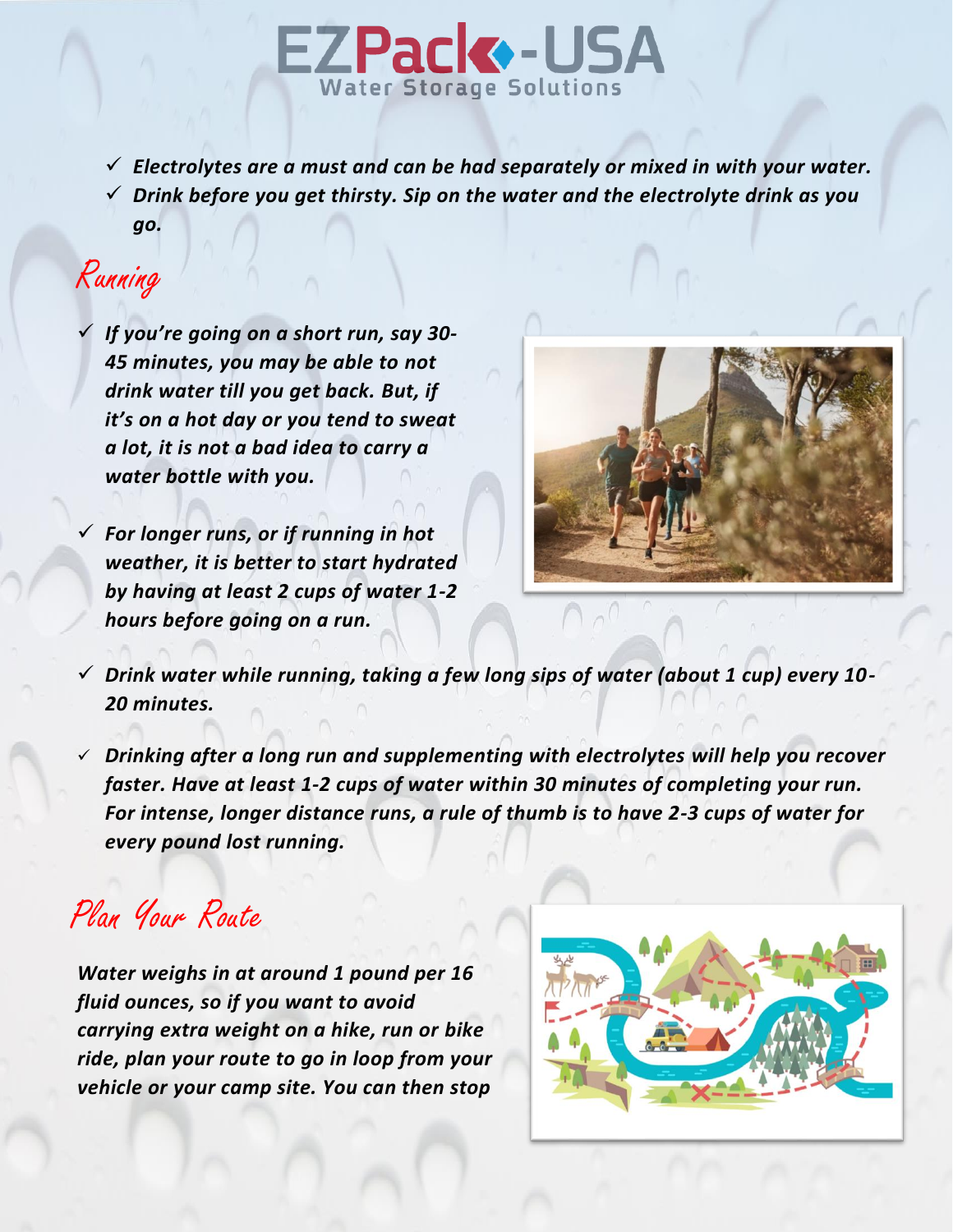# EZPack - USA

✓ *Electrolytes are a must and can be had separately or mixed in with your water.* ✓ *Drink before you get thirsty. Sip on the water and the electrolyte drink as you* 

## Running

*go.*

✓ *If you're going on a short run, say 30- 45 minutes, you may be able to not drink water till you get back. But, if it's on a hot day or you tend to sweat a lot, it is not a bad idea to carry a water bottle with you.*

✓ *For longer runs, or if running in hot weather, it is better to start hydrated by having at least 2 cups of water 1-2 hours before going on a run.*



- ✓ *Drink water while running, taking a few long sips of water (about 1 cup) every 10- 20 minutes.*
- ✓ *Drinking after a long run and supplementing with electrolytes will help you recover faster. Have at least 1-2 cups of water within 30 minutes of completing your run. For intense, longer distance runs, a rule of thumb is to have 2-3 cups of water for every pound lost running.*

Plan Your Route

*Water weighs in at around 1 pound per 16 fluid ounces, so if you want to avoid carrying extra weight on a hike, run or bike ride, plan your route to go in loop from your vehicle or your camp site. You can then stop*